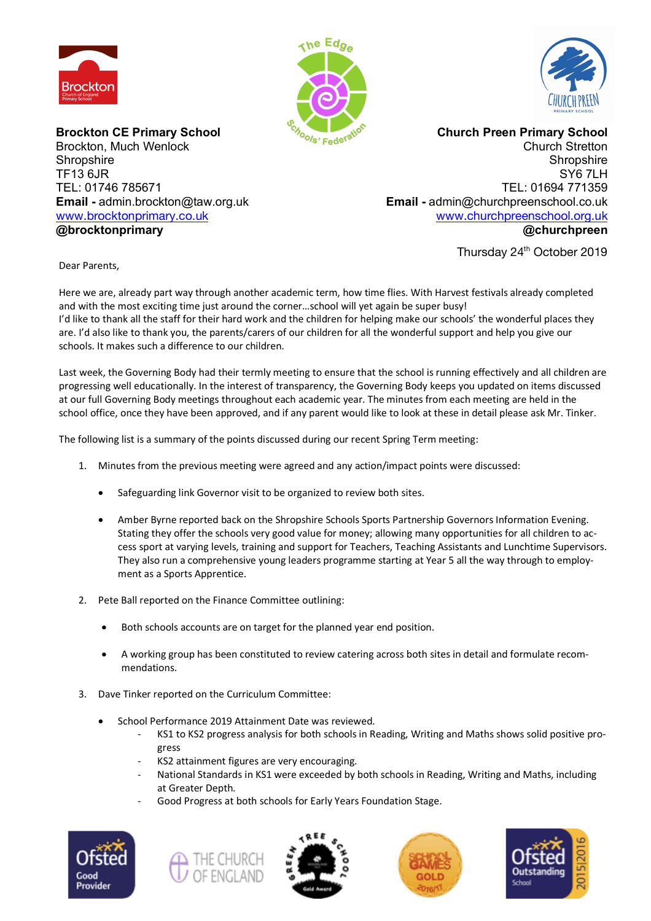





**Brockton CE Primary School** Brockton, Much Wenlock **Shropshire** TF13 6JR TEL: 01746 785671 **Email -** admin.brockton@taw.org.uk www.brocktonprimary.co.uk **@brocktonprimary**

**Church Preen Primary School** Church Stretton **Shropshire** SY6 7LH TEL: 01694 771359 **Email -** admin@churchpreenschool.co.uk www.churchpreenschool.org.uk **@churchpreen**

Thursday 24<sup>th</sup> October 2019

Dear Parents,

Here we are, already part way through another academic term, how time flies. With Harvest festivals already completed and with the most exciting time just around the corner…school will yet again be super busy! I'd like to thank all the staff for their hard work and the children for helping make our schools' the wonderful places they are. I'd also like to thank you, the parents/carers of our children for all the wonderful support and help you give our schools. It makes such a difference to our children.

Last week, the Governing Body had their termly meeting to ensure that the school is running effectively and all children are progressing well educationally. In the interest of transparency, the Governing Body keeps you updated on items discussed at our full Governing Body meetings throughout each academic year. The minutes from each meeting are held in the school office, once they have been approved, and if any parent would like to look at these in detail please ask Mr. Tinker.

The following list is a summary of the points discussed during our recent Spring Term meeting:

- 1. Minutes from the previous meeting were agreed and any action/impact points were discussed:
	- Safeguarding link Governor visit to be organized to review both sites.
	- Amber Byrne reported back on the Shropshire Schools Sports Partnership Governors Information Evening. Stating they offer the schools very good value for money; allowing many opportunities for all children to access sport at varying levels, training and support for Teachers, Teaching Assistants and Lunchtime Supervisors. They also run a comprehensive young leaders programme starting at Year 5 all the way through to employment as a Sports Apprentice.
- 2. Pete Ball reported on the Finance Committee outlining:
	- Both schools accounts are on target for the planned year end position.
	- A working group has been constituted to review catering across both sites in detail and formulate recommendations.
- 3. Dave Tinker reported on the Curriculum Committee:
	- School Performance 2019 Attainment Date was reviewed.
		- KS1 to KS2 progress analysis for both schools in Reading, Writing and Maths shows solid positive progress
		- KS2 attainment figures are very encouraging.
		- National Standards in KS1 were exceeded by both schools in Reading, Writing and Maths, including at Greater Depth.
		- Good Progress at both schools for Early Years Foundation Stage.